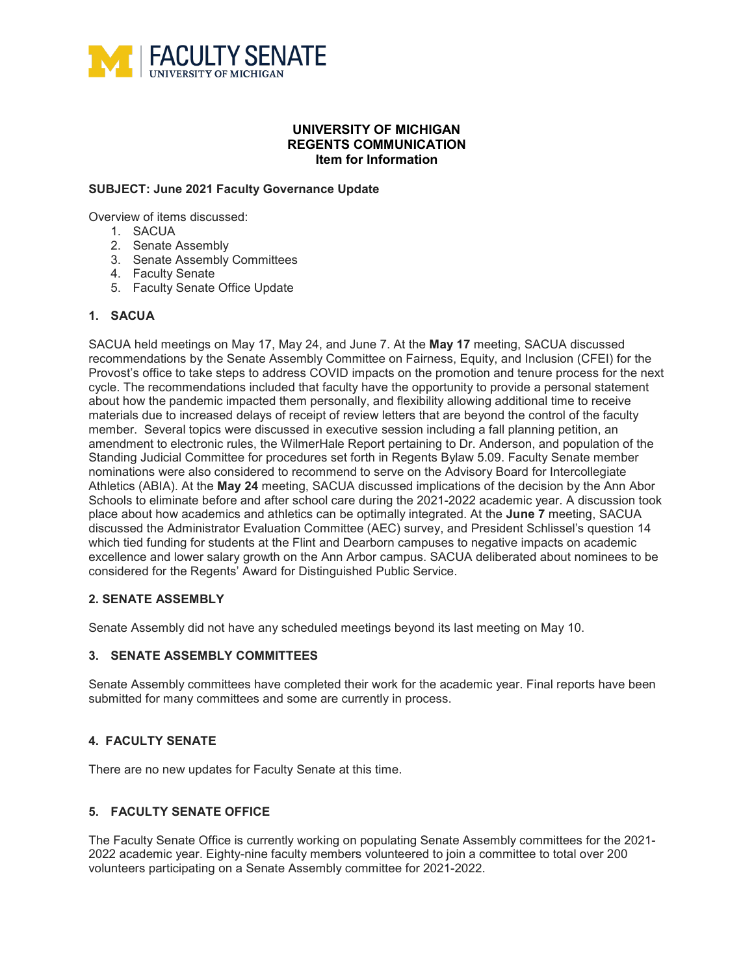

### **UNIVERSITY OF MICHIGAN REGENTS COMMUNICATION Item for Information**

#### **SUBJECT: June 2021 Faculty Governance Update**

Overview of items discussed:

- 1. SACUA
- 2. Senate Assembly
- 3. Senate Assembly Committees
- 4. Faculty Senate
- 5. Faculty Senate Office Update

### **1. SACUA**

SACUA held meetings on May 17, May 24, and June 7. At the **May 17** meeting, SACUA discussed recommendations by the Senate Assembly Committee on Fairness, Equity, and Inclusion (CFEI) for the Provost's office to take steps to address COVID impacts on the promotion and tenure process for the next cycle. The recommendations included that faculty have the opportunity to provide a personal statement about how the pandemic impacted them personally, and flexibility allowing additional time to receive materials due to increased delays of receipt of review letters that are beyond the control of the faculty member. Several topics were discussed in executive session including a fall planning petition, an amendment to electronic rules, the WilmerHale Report pertaining to Dr. Anderson, and population of the Standing Judicial Committee for procedures set forth in Regents Bylaw 5.09. Faculty Senate member nominations were also considered to recommend to serve on the Advisory Board for Intercollegiate Athletics (ABIA). At the **May 24** meeting, SACUA discussed implications of the decision by the Ann Abor Schools to eliminate before and after school care during the 2021-2022 academic year. A discussion took place about how academics and athletics can be optimally integrated. At the **June 7** meeting, SACUA discussed the Administrator Evaluation Committee (AEC) survey, and President Schlissel's question 14 which tied funding for students at the Flint and Dearborn campuses to negative impacts on academic excellence and lower salary growth on the Ann Arbor campus. SACUA deliberated about nominees to be considered for the Regents' Award for Distinguished Public Service.

## **2. SENATE ASSEMBLY**

Senate Assembly did not have any scheduled meetings beyond its last meeting on May 10.

#### **3. SENATE ASSEMBLY COMMITTEES**

Senate Assembly committees have completed their work for the academic year. Final reports have been submitted for many committees and some are currently in process.

## **4. FACULTY SENATE**

There are no new updates for Faculty Senate at this time.

# **5. FACULTY SENATE OFFICE**

The Faculty Senate Office is currently working on populating Senate Assembly committees for the 2021- 2022 academic year. Eighty-nine faculty members volunteered to join a committee to total over 200 volunteers participating on a Senate Assembly committee for 2021-2022.